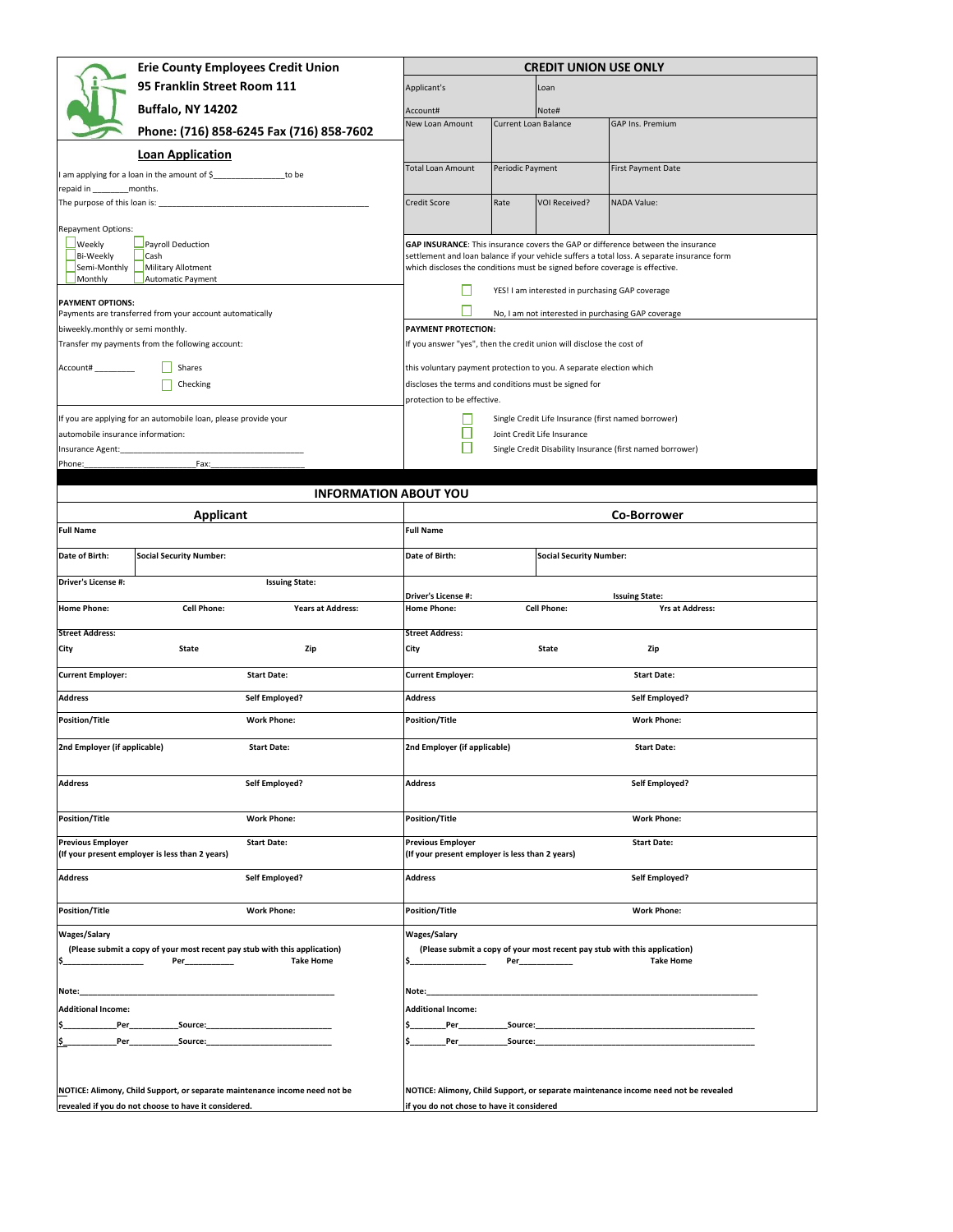|                                           | <b>Erie County Employees Credit Union</b>                                                                                          |                                                                             |                             | <b>CREDIT UNION USE ONLY</b>                        |                                                                                                                                                                                 |
|-------------------------------------------|------------------------------------------------------------------------------------------------------------------------------------|-----------------------------------------------------------------------------|-----------------------------|-----------------------------------------------------|---------------------------------------------------------------------------------------------------------------------------------------------------------------------------------|
|                                           | 95 Franklin Street Room 111                                                                                                        | Applicant's                                                                 |                             | Loan                                                |                                                                                                                                                                                 |
|                                           | <b>Buffalo, NY 14202</b>                                                                                                           | Account#                                                                    |                             | Note#                                               |                                                                                                                                                                                 |
|                                           |                                                                                                                                    | New Loan Amount                                                             | <b>Current Loan Balance</b> |                                                     | GAP Ins. Premium                                                                                                                                                                |
|                                           | Phone: (716) 858-6245 Fax (716) 858-7602                                                                                           |                                                                             |                             |                                                     |                                                                                                                                                                                 |
|                                           | <b>Loan Application</b>                                                                                                            |                                                                             | Periodic Payment            |                                                     |                                                                                                                                                                                 |
|                                           | I am applying for a loan in the amount of \$ to be                                                                                 | <b>Total Loan Amount</b>                                                    |                             |                                                     | First Payment Date                                                                                                                                                              |
| repaid in<br>The purpose of this loan is: | months.                                                                                                                            | Credit Score                                                                | Rate                        | <b>VOI Received?</b>                                | NADA Value:                                                                                                                                                                     |
|                                           |                                                                                                                                    |                                                                             |                             |                                                     |                                                                                                                                                                                 |
| Repayment Options:                        |                                                                                                                                    |                                                                             |                             |                                                     |                                                                                                                                                                                 |
| Weekly<br>Bi-Weekly                       | Payroll Deduction<br>Cash                                                                                                          |                                                                             |                             |                                                     | GAP INSURANCE: This insurance covers the GAP or difference between the insurance<br>settlement and loan balance if your vehicle suffers a total loss. A separate insurance form |
| Semi-Monthly<br>Monthly                   | Military Allotment<br>Automatic Payment                                                                                            | which discloses the conditions must be signed before coverage is effective. |                             |                                                     |                                                                                                                                                                                 |
|                                           |                                                                                                                                    | Н                                                                           |                             | YES! I am interested in purchasing GAP coverage     |                                                                                                                                                                                 |
| <b>PAYMENT OPTIONS:</b>                   | Payments are transferred from your account automatically                                                                           |                                                                             |                             |                                                     | No, I am not interested in purchasing GAP coverage                                                                                                                              |
| biweekly.monthly or semi monthly.         |                                                                                                                                    | <b>PAYMENT PROTECTION:</b>                                                  |                             |                                                     |                                                                                                                                                                                 |
|                                           | Transfer my payments from the following account:                                                                                   | If you answer "yes", then the credit union will disclose the cost of        |                             |                                                     |                                                                                                                                                                                 |
| Account#                                  | Shares                                                                                                                             | this voluntary payment protection to you. A separate election which         |                             |                                                     |                                                                                                                                                                                 |
|                                           | Checking                                                                                                                           | discloses the terms and conditions must be signed for                       |                             |                                                     |                                                                                                                                                                                 |
|                                           |                                                                                                                                    | protection to be effective.                                                 |                             |                                                     |                                                                                                                                                                                 |
|                                           | If you are applying for an automobile loan, please provide your                                                                    |                                                                             |                             | Single Credit Life Insurance (first named borrower) |                                                                                                                                                                                 |
| automobile insurance information:         |                                                                                                                                    |                                                                             |                             | Joint Credit Life Insurance                         |                                                                                                                                                                                 |
| Insurance Agent:                          |                                                                                                                                    |                                                                             |                             |                                                     | Single Credit Disability Insurance (first named borrower)                                                                                                                       |
| Phone:                                    | Fax:                                                                                                                               |                                                                             |                             |                                                     |                                                                                                                                                                                 |
|                                           | <b>INFORMATION ABOUT YOU</b>                                                                                                       |                                                                             |                             |                                                     |                                                                                                                                                                                 |
|                                           | Applicant                                                                                                                          |                                                                             |                             |                                                     | <b>Co-Borrower</b>                                                                                                                                                              |
| <b>Full Name</b>                          |                                                                                                                                    | <b>Full Name</b>                                                            |                             |                                                     |                                                                                                                                                                                 |
| Date of Birth:                            | <b>Social Security Number:</b>                                                                                                     | Date of Birth:                                                              |                             | <b>Social Security Number:</b>                      |                                                                                                                                                                                 |
|                                           |                                                                                                                                    |                                                                             |                             |                                                     |                                                                                                                                                                                 |
| Driver's License #:                       | <b>Issuing State:</b>                                                                                                              | Driver's License #:                                                         |                             |                                                     | <b>Issuing State:</b>                                                                                                                                                           |
| <b>Home Phone:</b>                        | <b>Cell Phone:</b><br><b>Years at Address:</b>                                                                                     | <b>Home Phone:</b>                                                          |                             | <b>Cell Phone:</b>                                  | <b>Yrs at Address:</b>                                                                                                                                                          |
| <b>Street Address:</b>                    |                                                                                                                                    | <b>Street Address:</b>                                                      |                             |                                                     |                                                                                                                                                                                 |
| City                                      | <b>State</b><br>Zip                                                                                                                | City                                                                        |                             | <b>State</b>                                        | Zip                                                                                                                                                                             |
|                                           |                                                                                                                                    |                                                                             |                             |                                                     |                                                                                                                                                                                 |
| <b>Current Employer:</b>                  |                                                                                                                                    |                                                                             |                             |                                                     |                                                                                                                                                                                 |
|                                           | <b>Start Date:</b>                                                                                                                 | <b>Current Employer:</b>                                                    |                             |                                                     | <b>Start Date:</b>                                                                                                                                                              |
| <b>Address</b>                            | Self Employed?                                                                                                                     | <b>Address</b>                                                              |                             |                                                     | Self Employed?                                                                                                                                                                  |
| <b>Position/Title</b>                     | <b>Work Phone:</b>                                                                                                                 | <b>Position/Title</b>                                                       |                             |                                                     | <b>Work Phone:</b>                                                                                                                                                              |
| 2nd Employer (if applicable)              | <b>Start Date:</b>                                                                                                                 | 2nd Employer (if applicable)                                                |                             |                                                     | <b>Start Date:</b>                                                                                                                                                              |
|                                           |                                                                                                                                    |                                                                             |                             |                                                     |                                                                                                                                                                                 |
| <b>Address</b>                            | Self Employed?                                                                                                                     | Address                                                                     |                             |                                                     | Self Employed?                                                                                                                                                                  |
|                                           |                                                                                                                                    |                                                                             |                             |                                                     |                                                                                                                                                                                 |
| <b>Position/Title</b>                     | <b>Work Phone:</b>                                                                                                                 | <b>Position/Title</b>                                                       |                             |                                                     | <b>Work Phone:</b>                                                                                                                                                              |
| <b>Previous Employer</b>                  | <b>Start Date:</b>                                                                                                                 | <b>Previous Employer</b>                                                    |                             |                                                     | <b>Start Date:</b>                                                                                                                                                              |
|                                           | (If your present employer is less than 2 years)                                                                                    | (If your present employer is less than 2 years)                             |                             |                                                     |                                                                                                                                                                                 |
| <b>Address</b>                            | Self Employed?                                                                                                                     | <b>Address</b>                                                              |                             |                                                     | Self Employed?                                                                                                                                                                  |
|                                           |                                                                                                                                    |                                                                             |                             |                                                     |                                                                                                                                                                                 |
| <b>Position/Title</b>                     | <b>Work Phone:</b>                                                                                                                 | Position/Title                                                              |                             |                                                     | <b>Work Phone:</b>                                                                                                                                                              |
| <b>Wages/Salary</b>                       |                                                                                                                                    | <b>Wages/Salary</b>                                                         |                             |                                                     |                                                                                                                                                                                 |
|                                           | (Please submit a copy of your most recent pay stub with this application)                                                          |                                                                             |                             |                                                     | (Please submit a copy of your most recent pay stub with this application)                                                                                                       |
| I\$_<br>_________                         | Per_____________<br><b>Take Home</b>                                                                                               |                                                                             |                             |                                                     | <b>Take Home</b>                                                                                                                                                                |
| Note:                                     |                                                                                                                                    | Note:                                                                       |                             |                                                     |                                                                                                                                                                                 |
| <b>Additional Income:</b>                 |                                                                                                                                    | <b>Additional Income:</b>                                                   |                             |                                                     |                                                                                                                                                                                 |
|                                           |                                                                                                                                    |                                                                             |                             |                                                     |                                                                                                                                                                                 |
| lŚ                                        |                                                                                                                                    |                                                                             |                             |                                                     |                                                                                                                                                                                 |
|                                           |                                                                                                                                    |                                                                             |                             |                                                     |                                                                                                                                                                                 |
|                                           |                                                                                                                                    |                                                                             |                             |                                                     |                                                                                                                                                                                 |
|                                           | NOTICE: Alimony, Child Support, or separate maintenance income need not be<br>revealed if you do not choose to have it considered. | if you do not chose to have it considered                                   |                             |                                                     | NOTICE: Alimony, Child Support, or separate maintenance income need not be revealed                                                                                             |